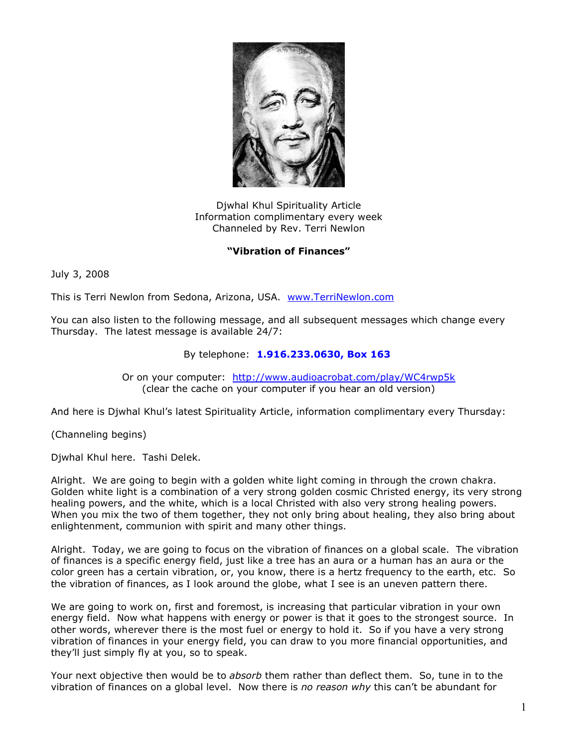

Djwhal Khul Spirituality Article Information complimentary every week Channeled by Rev. Terri Newlon

## **"Vibration of Finances"**

July 3, 2008

This is Terri Newlon from Sedona, Arizona, USA. [www.TerriNewlon.com](http://www.terrinewlon.com/)

You can also listen to the following message, and all subsequent messages which change every Thursday. The latest message is available 24/7:

## By telephone: **1.916.233.0630, Box 163**

Or on your computer: <http://www.audioacrobat.com/play/WC4rwp5k> (clear the cache on your computer if you hear an old version)

And here is Djwhal Khul's latest Spirituality Article, information complimentary every Thursday:

(Channeling begins)

Djwhal Khul here. Tashi Delek.

Alright. We are going to begin with a golden white light coming in through the crown chakra. Golden white light is a combination of a very strong golden cosmic Christed energy, its very strong healing powers, and the white, which is a local Christed with also very strong healing powers. When you mix the two of them together, they not only bring about healing, they also bring about enlightenment, communion with spirit and many other things.

Alright. Today, we are going to focus on the vibration of finances on a global scale. The vibration of finances is a specific energy field, just like a tree has an aura or a human has an aura or the color green has a certain vibration, or, you know, there is a hertz frequency to the earth, etc. So the vibration of finances, as I look around the globe, what I see is an uneven pattern there.

We are going to work on, first and foremost, is increasing that particular vibration in your own energy field. Now what happens with energy or power is that it goes to the strongest source. In other words, wherever there is the most fuel or energy to hold it. So if you have a very strong vibration of finances in your energy field, you can draw to you more financial opportunities, and they'll just simply fly at you, so to speak.

Your next objective then would be to *absorb* them rather than deflect them. So, tune in to the vibration of finances on a global level. Now there is *no reason why* this can't be abundant for